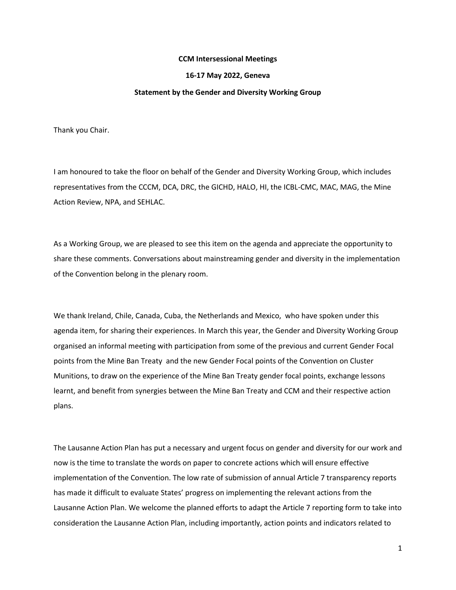## **CCM Intersessional Meetings**

## **16-17 May 2022, Geneva**

## **Statement by the Gender and Diversity Working Group**

Thank you Chair.

I am honoured to take the floor on behalf of the Gender and Diversity Working Group, which includes representatives from the CCCM, DCA, DRC, the GICHD, HALO, HI, the ICBL-CMC, MAC, MAG, the Mine Action Review, NPA, and SEHLAC.

As a Working Group, we are pleased to see this item on the agenda and appreciate the opportunity to share these comments. Conversations about mainstreaming gender and diversity in the implementation of the Convention belong in the plenary room.

We thank Ireland, Chile, Canada, Cuba, the Netherlands and Mexico, who have spoken under this agenda item, for sharing their experiences. In March this year, the Gender and Diversity Working Group organised an informal meeting with participation from some of the previous and current Gender Focal points from the Mine Ban Treaty and the new Gender Focal points of the Convention on Cluster Munitions, to draw on the experience of the Mine Ban Treaty gender focal points, exchange lessons learnt, and benefit from synergies between the Mine Ban Treaty and CCM and their respective action plans.

The Lausanne Action Plan has put a necessary and urgent focus on gender and diversity for our work and now is the time to translate the words on paper to concrete actions which will ensure effective implementation of the Convention. The low rate of submission of annual Article 7 transparency reports has made it difficult to evaluate States' progress on implementing the relevant actions from the Lausanne Action Plan. We welcome the planned efforts to adapt the Article 7 reporting form to take into consideration the Lausanne Action Plan, including importantly, action points and indicators related to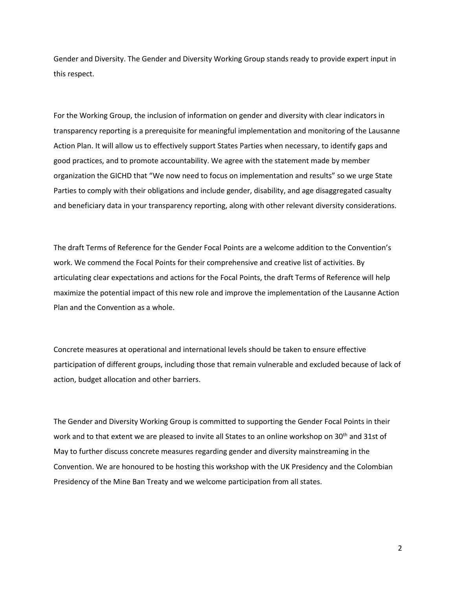Gender and Diversity. The Gender and Diversity Working Group stands ready to provide expert input in this respect.

For the Working Group, the inclusion of information on gender and diversity with clear indicators in transparency reporting is a prerequisite for meaningful implementation and monitoring of the Lausanne Action Plan. It will allow us to effectively support States Parties when necessary, to identify gaps and good practices, and to promote accountability. We agree with the statement made by member organization the GICHD that "We now need to focus on implementation and results" so we urge State Parties to comply with their obligations and include gender, disability, and age disaggregated casualty and beneficiary data in your transparency reporting, along with other relevant diversity considerations.

The draft Terms of Reference for the Gender Focal Points are a welcome addition to the Convention's work. We commend the Focal Points for their comprehensive and creative list of activities. By articulating clear expectations and actions for the Focal Points, the draft Terms of Reference will help maximize the potential impact of this new role and improve the implementation of the Lausanne Action Plan and the Convention as a whole.

Concrete measures at operational and international levels should be taken to ensure effective participation of different groups, including those that remain vulnerable and excluded because of lack of action, budget allocation and other barriers.

The Gender and Diversity Working Group is committed to supporting the Gender Focal Points in their work and to that extent we are pleased to invite all States to an online workshop on 30<sup>th</sup> and 31st of May to further discuss concrete measures regarding gender and diversity mainstreaming in the Convention. We are honoured to be hosting this workshop with the UK Presidency and the Colombian Presidency of the Mine Ban Treaty and we welcome participation from all states.